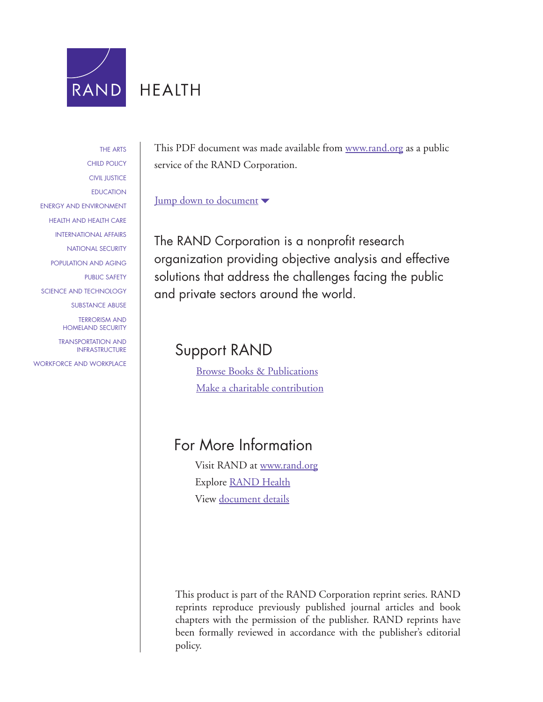

# **HEALTH**

[THE ARTS](http://www.rand.org/pdfrd/research_areas/arts/) [CHILD POLICY](http://www.rand.org/pdfrd/research_areas/children/) [CIVIL JUSTICE](http://www.rand.org/pdfrd/research_areas/civil_justice/) [EDUCATION](http://www.rand.org/pdfrd/research_areas/education/) [ENERGY AND ENVIRONMENT](http://www.rand.org/pdfrd/research_areas/energy_environment/) [HEALTH AND HEALTH CARE](http://www.rand.org/pdfrd/research_areas/health/) [INTERNATIONAL AFFAIRS](http://www.rand.org/pdfrd/research_areas/international_affairs/) [NATIONAL SECURITY](http://www.rand.org/pdfrd/research_areas/national_security/) [POPULATION AND AGING](http://www.rand.org/pdfrd/research_areas/population/) [PUBLIC SAFETY](http://www.rand.org/pdfrd/research_areas/public_safety/) [SCIENCE AND TECHNOLOGY](http://www.rand.org/pdfrd/research_areas/science_technology/) [SUBSTANCE ABUSE](http://www.rand.org/pdfrd/research_areas/substance_abuse/) [TERRORISM AND](http://www.rand.org/pdfrd/research_areas/terrorism/)  [HOMELAND SECURITY](http://www.rand.org/pdfrd/research_areas/terrorism/) [TRANSPORTATION AND](http://www.rand.org/pdfrd/research_areas/infrastructure/) [INFRASTRUCTURE](http://www.rand.org/pdfrd/research_areas/infrastructure/) [WORKFORCE AND WORKPLACE](http://www.rand.org/pdfrd/research_areas/workforce/)

This PDF document was made available from [www.rand.org](http://www.rand.org/pdfrd/) as a public service of the RAND Corporation.

#### [Jump down to document](#page-1-0)

The RAND Corporation is a nonprofit research organization providing objective analysis and effective solutions that address the challenges facing the public and private sectors around the world.

## Support RAND

[Browse Books & Publications](http://www.rand.org/pdfrd/pubs/online/) [Make a charitable contribution](http://www.rand.org/pdfrd/giving/contribute.html)

# For More Information

Visit RAND at [www.rand.org](http://www.rand.org/pdfrd/) Explore [RAND Health](http://www.rand.org/pdfrd/health/) View [document details](http://www.rand.org/pdfrd/pubs/reprints/RP1258/)

This product is part of the RAND Corporation reprint series. RAND reprints reproduce previously published journal articles and book chapters with the permission of the publisher. RAND reprints have been formally reviewed in accordance with the publisher's editorial policy.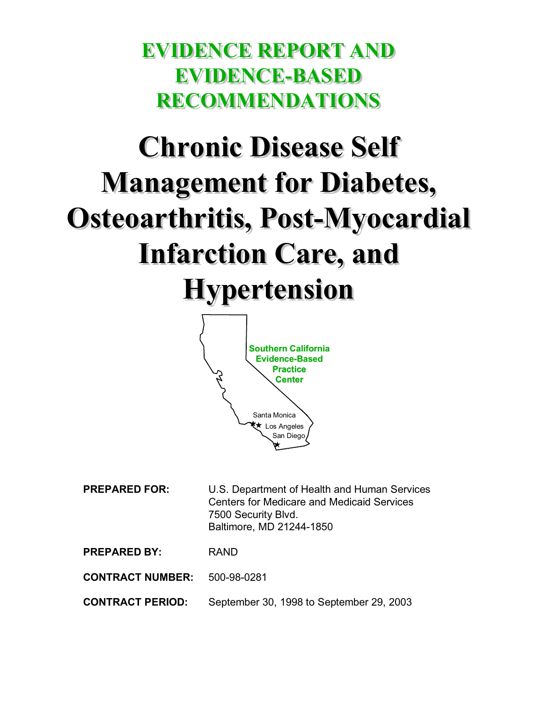# <span id="page-1-0"></span>**EVIDENCE REPORT AND EVIDENCE REPORT AND EVIDENCE-BASED EVIDENCE-BASED RECOMMENDATIONS RECOMMENDATIONS**

# **Chronic Disease Self Chronic Disease Self Management for Diabetes, Management for Diabetes, Osteoarthritis, Post-Myocardial Osteoarthritis, Post-Myocardial Infarction Care, and Infarction Care, and Hypertension Hypertension**



| <b>PREPARED FOR:</b>    | U.S. Department of Health and Human Services<br><b>Centers for Medicare and Medicaid Services</b><br>7500 Security Blvd.<br>Baltimore, MD 21244-1850 |
|-------------------------|------------------------------------------------------------------------------------------------------------------------------------------------------|
| <b>PREPARED BY:</b>     | <b>RAND</b>                                                                                                                                          |
| <b>CONTRACT NUMBER:</b> | 500-98-0281                                                                                                                                          |

**CONTRACT PERIOD:** September 30, 1998 to September 29, 2003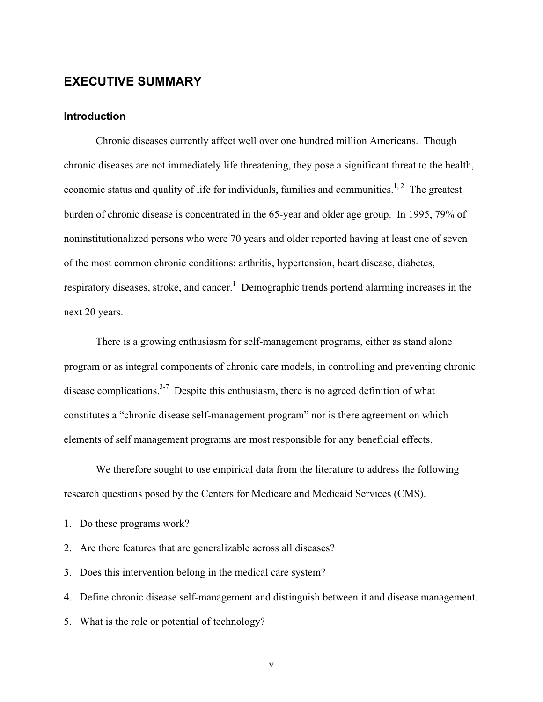#### **EXECUTIVE SUMMARY**

#### **Introduction**

Chronic diseases currently affect well over one hundred million Americans. Though chronic diseases are not immediately life threatening, they pose a significant threat to the health, economic status and quality of life for individuals, families and communities.<sup>1, 2</sup> The greatest burden of chronic disease is concentrated in the 65-year and older age group. In 1995, 79% of noninstitutionalized persons who were 70 years and older reported having at least one of seven of the most common chronic conditions: arthritis, hypertension, heart disease, diabetes, respiratory diseases, stroke, and cancer.<sup>1</sup> Demographic trends portend alarming increases in the next 20 years.

There is a growing enthusiasm for self-management programs, either as stand alone program or as integral components of chronic care models, in controlling and preventing chronic disease complications.<sup>3-7</sup> Despite this enthusiasm, there is no agreed definition of what constitutes a "chronic disease self-management program" nor is there agreement on which elements of self management programs are most responsible for any beneficial effects.

We therefore sought to use empirical data from the literature to address the following research questions posed by the Centers for Medicare and Medicaid Services (CMS).

- 1. Do these programs work?
- 2. Are there features that are generalizable across all diseases?
- 3. Does this intervention belong in the medical care system?
- 4. Define chronic disease self-management and distinguish between it and disease management.
- 5. What is the role or potential of technology?

v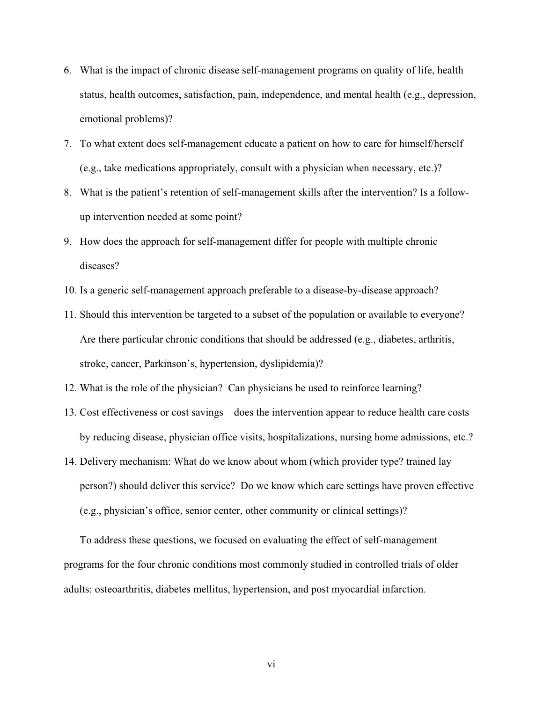- 6. What is the impact of chronic disease self-management programs on quality of life, health status, health outcomes, satisfaction, pain, independence, and mental health (e.g., depression, emotional problems)?
- 7. To what extent does self-management educate a patient on how to care for himself/herself (e.g., take medications appropriately, consult with a physician when necessary, etc.)?
- 8. What is the patient's retention of self-management skills after the intervention? Is a followup intervention needed at some point?
- 9. How does the approach for self-management differ for people with multiple chronic diseases?
- 10. Is a generic self-management approach preferable to a disease-by-disease approach?
- 11. Should this intervention be targeted to a subset of the population or available to everyone? Are there particular chronic conditions that should be addressed (e.g., diabetes, arthritis, stroke, cancer, Parkinson's, hypertension, dyslipidemia)?
- 12. What is the role of the physician? Can physicians be used to reinforce learning?
- 13. Cost effectiveness or cost savings—does the intervention appear to reduce health care costs by reducing disease, physician office visits, hospitalizations, nursing home admissions, etc.?
- 14. Delivery mechanism: What do we know about whom (which provider type? trained lay person?) should deliver this service? Do we know which care settings have proven effective (e.g., physician's office, senior center, other community or clinical settings)?

To address these questions, we focused on evaluating the effect of self-management programs for the four chronic conditions most commonly studied in controlled trials of older adults: osteoarthritis, diabetes mellitus, hypertension, and post myocardial infarction.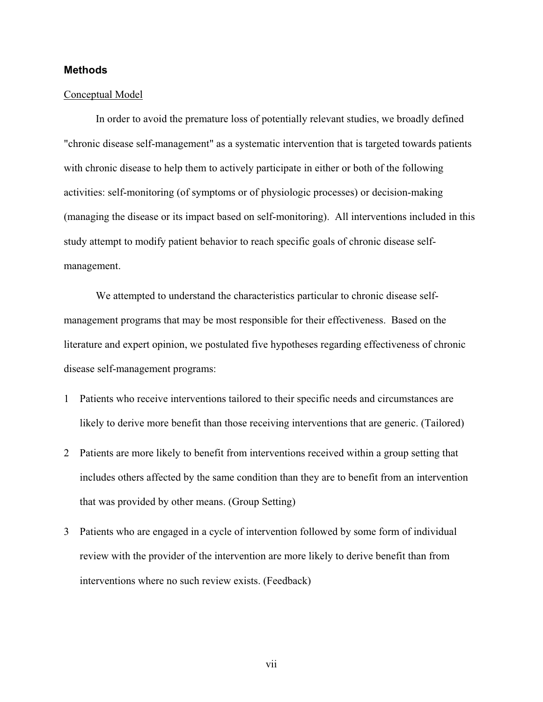#### **Methods**

#### Conceptual Model

In order to avoid the premature loss of potentially relevant studies, we broadly defined "chronic disease self-management" as a systematic intervention that is targeted towards patients with chronic disease to help them to actively participate in either or both of the following activities: self-monitoring (of symptoms or of physiologic processes) or decision-making (managing the disease or its impact based on self-monitoring). All interventions included in this study attempt to modify patient behavior to reach specific goals of chronic disease selfmanagement.

We attempted to understand the characteristics particular to chronic disease selfmanagement programs that may be most responsible for their effectiveness. Based on the literature and expert opinion, we postulated five hypotheses regarding effectiveness of chronic disease self-management programs:

- 1 Patients who receive interventions tailored to their specific needs and circumstances are likely to derive more benefit than those receiving interventions that are generic. (Tailored)
- 2 Patients are more likely to benefit from interventions received within a group setting that includes others affected by the same condition than they are to benefit from an intervention that was provided by other means. (Group Setting)
- 3 Patients who are engaged in a cycle of intervention followed by some form of individual review with the provider of the intervention are more likely to derive benefit than from interventions where no such review exists. (Feedback)

vii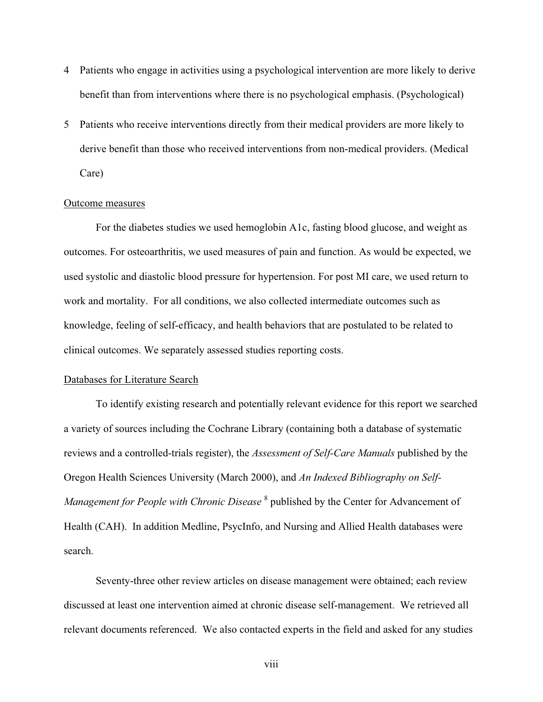- 4 Patients who engage in activities using a psychological intervention are more likely to derive benefit than from interventions where there is no psychological emphasis. (Psychological)
- 5 Patients who receive interventions directly from their medical providers are more likely to derive benefit than those who received interventions from non-medical providers. (Medical Care)

#### Outcome measures

For the diabetes studies we used hemoglobin A1c, fasting blood glucose, and weight as outcomes. For osteoarthritis, we used measures of pain and function. As would be expected, we used systolic and diastolic blood pressure for hypertension. For post MI care, we used return to work and mortality. For all conditions, we also collected intermediate outcomes such as knowledge, feeling of self-efficacy, and health behaviors that are postulated to be related to clinical outcomes. We separately assessed studies reporting costs.

#### Databases for Literature Search

To identify existing research and potentially relevant evidence for this report we searched a variety of sources including the Cochrane Library (containing both a database of systematic reviews and a controlled-trials register), the *Assessment of Self-Care Manuals* published by the Oregon Health Sciences University (March 2000), and *An Indexed Bibliography on Self-*Management for People with Chronic Disease <sup>8</sup> published by the Center for Advancement of Health (CAH). In addition Medline, PsycInfo, and Nursing and Allied Health databases were search.

Seventy-three other review articles on disease management were obtained; each review discussed at least one intervention aimed at chronic disease self-management. We retrieved all relevant documents referenced. We also contacted experts in the field and asked for any studies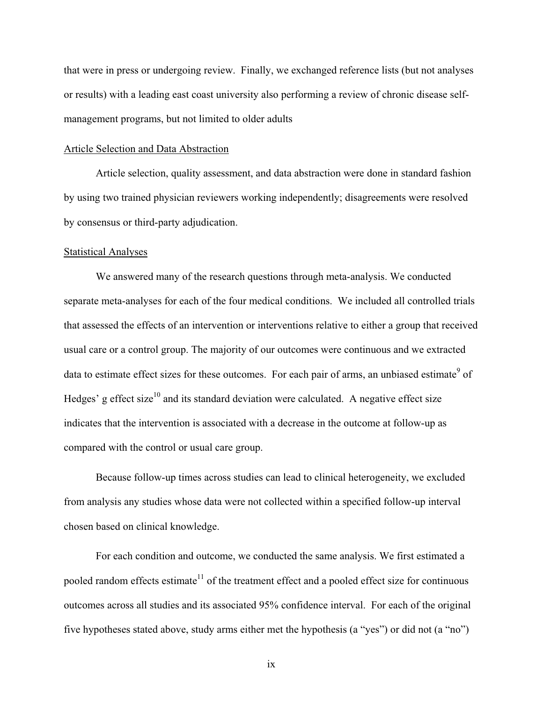that were in press or undergoing review. Finally, we exchanged reference lists (but not analyses or results) with a leading east coast university also performing a review of chronic disease selfmanagement programs, but not limited to older adults

#### Article Selection and Data Abstraction

Article selection, quality assessment, and data abstraction were done in standard fashion by using two trained physician reviewers working independently; disagreements were resolved by consensus or third-party adjudication.

#### Statistical Analyses

We answered many of the research questions through meta-analysis. We conducted separate meta-analyses for each of the four medical conditions. We included all controlled trials that assessed the effects of an intervention or interventions relative to either a group that received usual care or a control group. The majority of our outcomes were continuous and we extracted data to estimate effect sizes for these outcomes. For each pair of arms, an unbiased estimate<sup>9</sup> of Hedges' g effect size<sup>10</sup> and its standard deviation were calculated. A negative effect size indicates that the intervention is associated with a decrease in the outcome at follow-up as compared with the control or usual care group.

Because follow-up times across studies can lead to clinical heterogeneity, we excluded from analysis any studies whose data were not collected within a specified follow-up interval chosen based on clinical knowledge.

For each condition and outcome, we conducted the same analysis. We first estimated a pooled random effects estimate<sup>11</sup> of the treatment effect and a pooled effect size for continuous outcomes across all studies and its associated 95% confidence interval. For each of the original five hypotheses stated above, study arms either met the hypothesis (a "yes") or did not (a "no")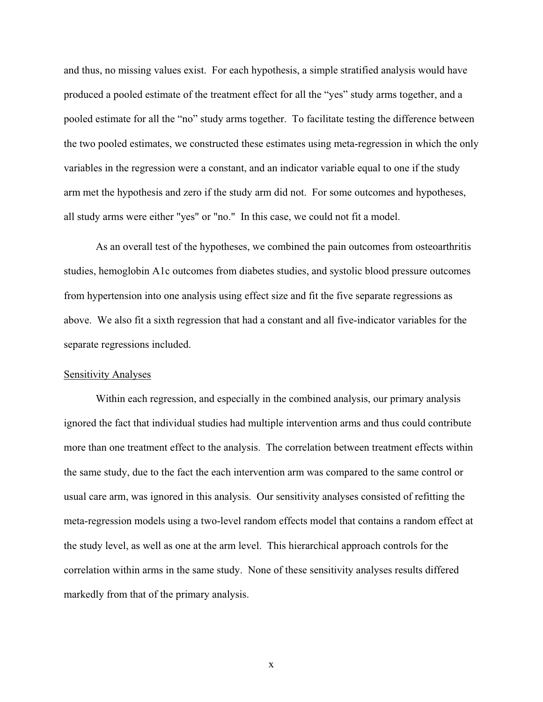and thus, no missing values exist. For each hypothesis, a simple stratified analysis would have produced a pooled estimate of the treatment effect for all the "yes" study arms together, and a pooled estimate for all the "no" study arms together. To facilitate testing the difference between the two pooled estimates, we constructed these estimates using meta-regression in which the only variables in the regression were a constant, and an indicator variable equal to one if the study arm met the hypothesis and zero if the study arm did not. For some outcomes and hypotheses, all study arms were either "yes" or "no." In this case, we could not fit a model.

As an overall test of the hypotheses, we combined the pain outcomes from osteoarthritis studies, hemoglobin A1c outcomes from diabetes studies, and systolic blood pressure outcomes from hypertension into one analysis using effect size and fit the five separate regressions as above. We also fit a sixth regression that had a constant and all five-indicator variables for the separate regressions included.

#### Sensitivity Analyses

Within each regression, and especially in the combined analysis, our primary analysis ignored the fact that individual studies had multiple intervention arms and thus could contribute more than one treatment effect to the analysis. The correlation between treatment effects within the same study, due to the fact the each intervention arm was compared to the same control or usual care arm, was ignored in this analysis. Our sensitivity analyses consisted of refitting the meta-regression models using a two-level random effects model that contains a random effect at the study level, as well as one at the arm level. This hierarchical approach controls for the correlation within arms in the same study. None of these sensitivity analyses results differed markedly from that of the primary analysis.

x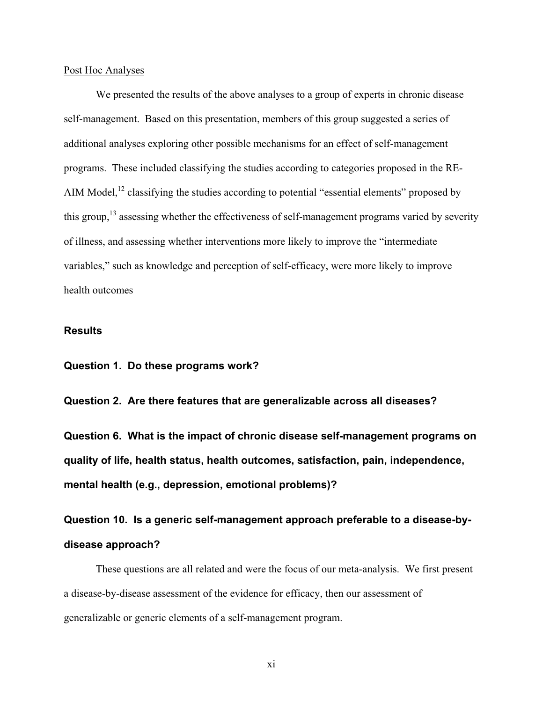#### Post Hoc Analyses

We presented the results of the above analyses to a group of experts in chronic disease self-management. Based on this presentation, members of this group suggested a series of additional analyses exploring other possible mechanisms for an effect of self-management programs. These included classifying the studies according to categories proposed in the RE-AIM Model,<sup>12</sup> classifying the studies according to potential "essential elements" proposed by this group,<sup>13</sup> assessing whether the effectiveness of self-management programs varied by severity of illness, and assessing whether interventions more likely to improve the "intermediate variables," such as knowledge and perception of self-efficacy, were more likely to improve health outcomes

#### **Results**

**Question 1. Do these programs work?** 

**Question 2. Are there features that are generalizable across all diseases?** 

**Question 6. What is the impact of chronic disease self-management programs on quality of life, health status, health outcomes, satisfaction, pain, independence, mental health (e.g., depression, emotional problems)?** 

**Question 10. Is a generic self-management approach preferable to a disease-bydisease approach?** 

These questions are all related and were the focus of our meta-analysis. We first present a disease-by-disease assessment of the evidence for efficacy, then our assessment of generalizable or generic elements of a self-management program.

xi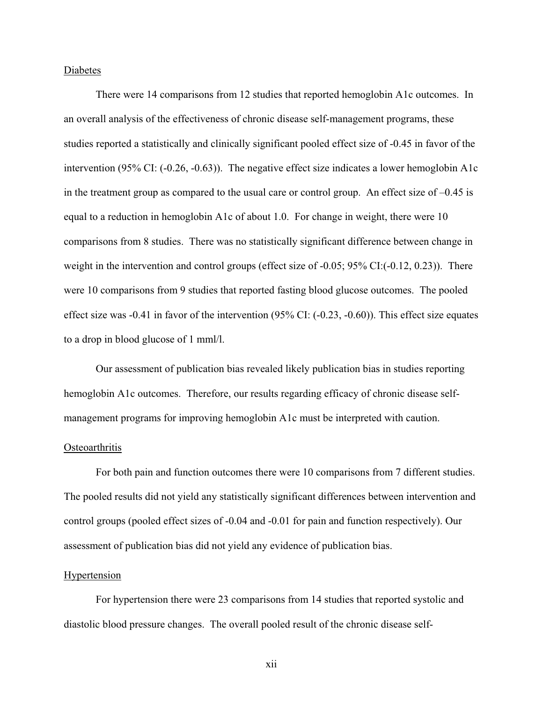#### Diabetes

There were 14 comparisons from 12 studies that reported hemoglobin A1c outcomes. In an overall analysis of the effectiveness of chronic disease self-management programs, these studies reported a statistically and clinically significant pooled effect size of -0.45 in favor of the intervention (95% CI: (-0.26, -0.63)). The negative effect size indicates a lower hemoglobin A1c in the treatment group as compared to the usual care or control group. An effect size of –0.45 is equal to a reduction in hemoglobin A1c of about 1.0. For change in weight, there were 10 comparisons from 8 studies. There was no statistically significant difference between change in weight in the intervention and control groups (effect size of -0.05; 95% CI:(-0.12, 0.23)). There were 10 comparisons from 9 studies that reported fasting blood glucose outcomes. The pooled effect size was -0.41 in favor of the intervention (95% CI: (-0.23, -0.60)). This effect size equates to a drop in blood glucose of 1 mml/l.

Our assessment of publication bias revealed likely publication bias in studies reporting hemoglobin A1c outcomes. Therefore, our results regarding efficacy of chronic disease selfmanagement programs for improving hemoglobin A1c must be interpreted with caution.

#### **Osteoarthritis**

For both pain and function outcomes there were 10 comparisons from 7 different studies. The pooled results did not yield any statistically significant differences between intervention and control groups (pooled effect sizes of -0.04 and -0.01 for pain and function respectively). Our assessment of publication bias did not yield any evidence of publication bias.

#### **Hypertension**

For hypertension there were 23 comparisons from 14 studies that reported systolic and diastolic blood pressure changes. The overall pooled result of the chronic disease self-

xii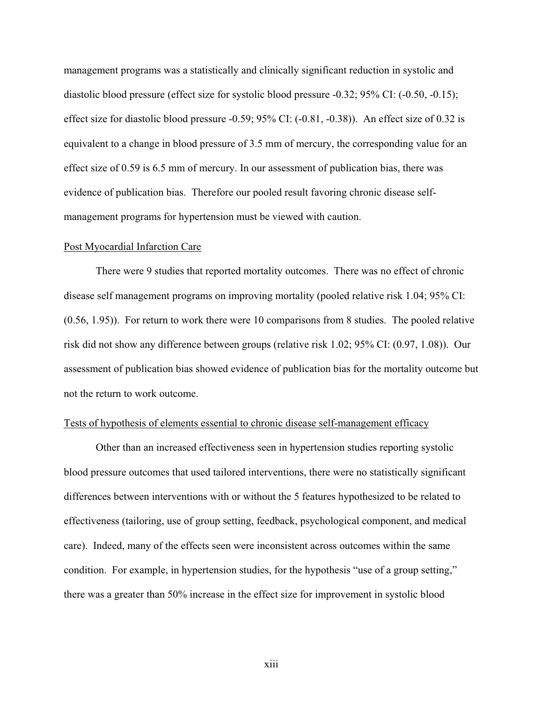management programs was a statistically and clinically significant reduction in systolic and diastolic blood pressure (effect size for systolic blood pressure -0.32; 95% CI: (-0.50, -0.15); effect size for diastolic blood pressure -0.59; 95% CI: (-0.81, -0.38)). An effect size of 0.32 is equivalent to a change in blood pressure of 3.5 mm of mercury, the corresponding value for an effect size of 0.59 is 6.5 mm of mercury. In our assessment of publication bias, there was evidence of publication bias. Therefore our pooled result favoring chronic disease selfmanagement programs for hypertension must be viewed with caution.

#### Post Myocardial Infarction Care

There were 9 studies that reported mortality outcomes. There was no effect of chronic disease self management programs on improving mortality (pooled relative risk 1.04; 95% CI: (0.56, 1.95)). For return to work there were 10 comparisons from 8 studies. The pooled relative risk did not show any difference between groups (relative risk 1.02; 95% CI: (0.97, 1.08)). Our assessment of publication bias showed evidence of publication bias for the mortality outcome but not the return to work outcome.

#### Tests of hypothesis of elements essential to chronic disease self-management efficacy

Other than an increased effectiveness seen in hypertension studies reporting systolic blood pressure outcomes that used tailored interventions, there were no statistically significant differences between interventions with or without the 5 features hypothesized to be related to effectiveness (tailoring, use of group setting, feedback, psychological component, and medical care). Indeed, many of the effects seen were inconsistent across outcomes within the same condition. For example, in hypertension studies, for the hypothesis "use of a group setting," there was a greater than 50% increase in the effect size for improvement in systolic blood

xiii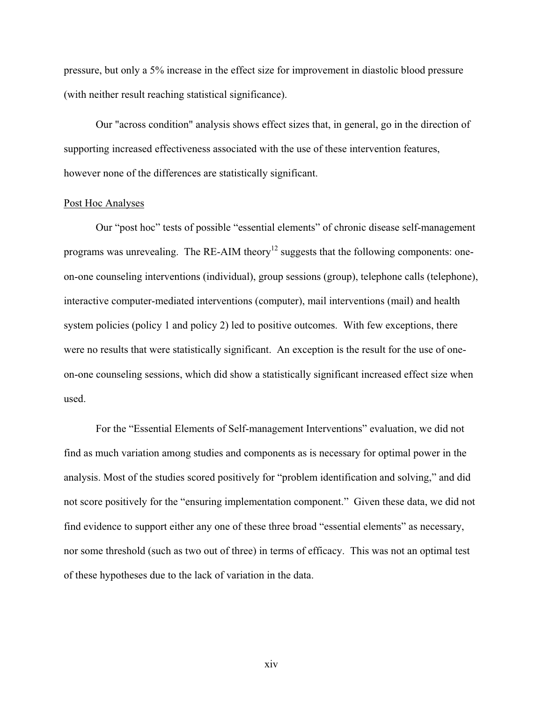pressure, but only a 5% increase in the effect size for improvement in diastolic blood pressure (with neither result reaching statistical significance).

Our "across condition" analysis shows effect sizes that, in general, go in the direction of supporting increased effectiveness associated with the use of these intervention features, however none of the differences are statistically significant.

#### Post Hoc Analyses

Our "post hoc" tests of possible "essential elements" of chronic disease self-management programs was unrevealing. The RE-AIM theory<sup>12</sup> suggests that the following components: oneon-one counseling interventions (individual), group sessions (group), telephone calls (telephone), interactive computer-mediated interventions (computer), mail interventions (mail) and health system policies (policy 1 and policy 2) led to positive outcomes. With few exceptions, there were no results that were statistically significant. An exception is the result for the use of oneon-one counseling sessions, which did show a statistically significant increased effect size when used.

For the "Essential Elements of Self-management Interventions" evaluation, we did not find as much variation among studies and components as is necessary for optimal power in the analysis. Most of the studies scored positively for "problem identification and solving," and did not score positively for the "ensuring implementation component." Given these data, we did not find evidence to support either any one of these three broad "essential elements" as necessary, nor some threshold (such as two out of three) in terms of efficacy. This was not an optimal test of these hypotheses due to the lack of variation in the data.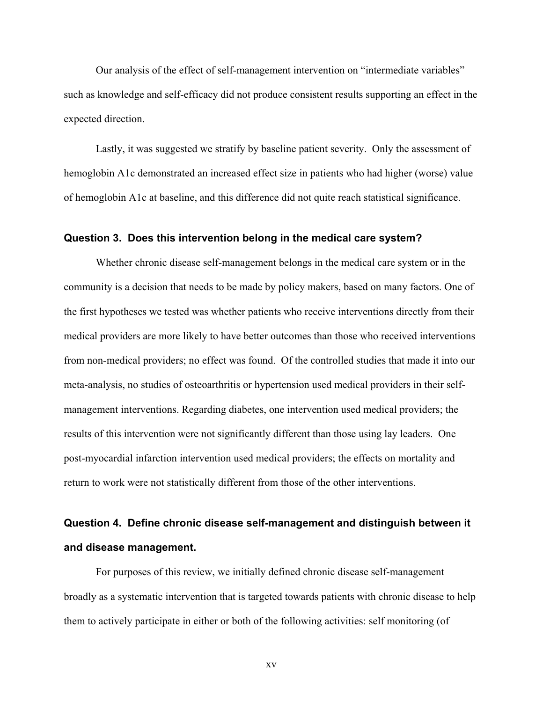Our analysis of the effect of self-management intervention on "intermediate variables" such as knowledge and self-efficacy did not produce consistent results supporting an effect in the expected direction.

Lastly, it was suggested we stratify by baseline patient severity. Only the assessment of hemoglobin A1c demonstrated an increased effect size in patients who had higher (worse) value of hemoglobin A1c at baseline, and this difference did not quite reach statistical significance.

#### **Question 3. Does this intervention belong in the medical care system?**

Whether chronic disease self-management belongs in the medical care system or in the community is a decision that needs to be made by policy makers, based on many factors. One of the first hypotheses we tested was whether patients who receive interventions directly from their medical providers are more likely to have better outcomes than those who received interventions from non-medical providers; no effect was found. Of the controlled studies that made it into our meta-analysis, no studies of osteoarthritis or hypertension used medical providers in their selfmanagement interventions. Regarding diabetes, one intervention used medical providers; the results of this intervention were not significantly different than those using lay leaders. One post-myocardial infarction intervention used medical providers; the effects on mortality and return to work were not statistically different from those of the other interventions.

## **Question 4. Define chronic disease self-management and distinguish between it and disease management.**

For purposes of this review, we initially defined chronic disease self-management broadly as a systematic intervention that is targeted towards patients with chronic disease to help them to actively participate in either or both of the following activities: self monitoring (of

xv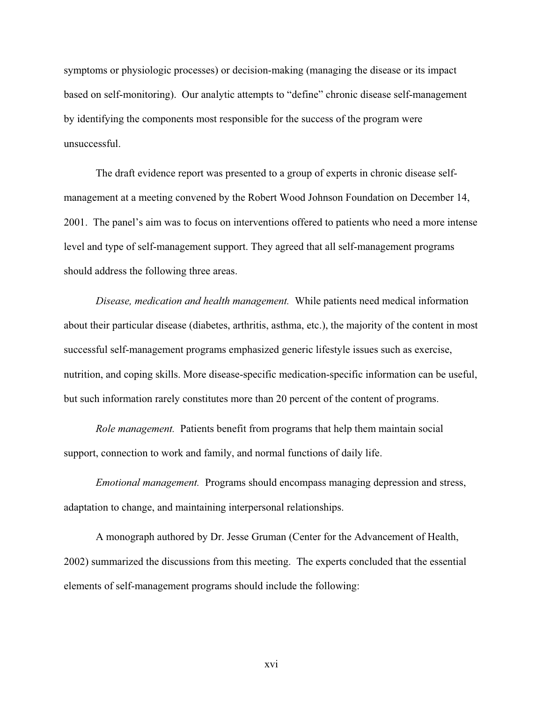symptoms or physiologic processes) or decision-making (managing the disease or its impact based on self-monitoring). Our analytic attempts to "define" chronic disease self-management by identifying the components most responsible for the success of the program were unsuccessful.

The draft evidence report was presented to a group of experts in chronic disease selfmanagement at a meeting convened by the Robert Wood Johnson Foundation on December 14, 2001. The panel's aim was to focus on interventions offered to patients who need a more intense level and type of self-management support. They agreed that all self-management programs should address the following three areas.

*Disease, medication and health management.* While patients need medical information about their particular disease (diabetes, arthritis, asthma, etc.), the majority of the content in most successful self-management programs emphasized generic lifestyle issues such as exercise, nutrition, and coping skills. More disease-specific medication-specific information can be useful, but such information rarely constitutes more than 20 percent of the content of programs.

*Role management.* Patients benefit from programs that help them maintain social support, connection to work and family, and normal functions of daily life.

*Emotional management.* Programs should encompass managing depression and stress, adaptation to change, and maintaining interpersonal relationships.

A monograph authored by Dr. Jesse Gruman (Center for the Advancement of Health, 2002) summarized the discussions from this meeting. The experts concluded that the essential elements of self-management programs should include the following: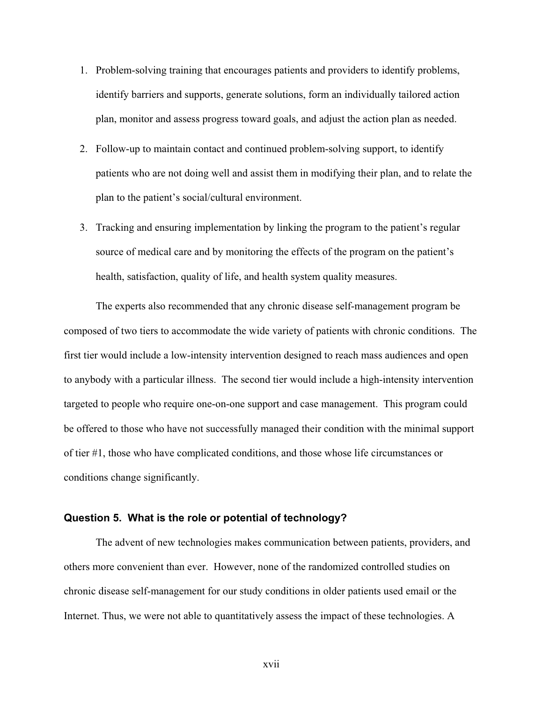- 1. Problem-solving training that encourages patients and providers to identify problems, identify barriers and supports, generate solutions, form an individually tailored action plan, monitor and assess progress toward goals, and adjust the action plan as needed.
- 2. Follow-up to maintain contact and continued problem-solving support, to identify patients who are not doing well and assist them in modifying their plan, and to relate the plan to the patient's social/cultural environment.
- 3. Tracking and ensuring implementation by linking the program to the patient's regular source of medical care and by monitoring the effects of the program on the patient's health, satisfaction, quality of life, and health system quality measures.

The experts also recommended that any chronic disease self-management program be composed of two tiers to accommodate the wide variety of patients with chronic conditions. The first tier would include a low-intensity intervention designed to reach mass audiences and open to anybody with a particular illness. The second tier would include a high-intensity intervention targeted to people who require one-on-one support and case management. This program could be offered to those who have not successfully managed their condition with the minimal support of tier #1, those who have complicated conditions, and those whose life circumstances or conditions change significantly.

#### **Question 5. What is the role or potential of technology?**

The advent of new technologies makes communication between patients, providers, and others more convenient than ever. However, none of the randomized controlled studies on chronic disease self-management for our study conditions in older patients used email or the Internet. Thus, we were not able to quantitatively assess the impact of these technologies. A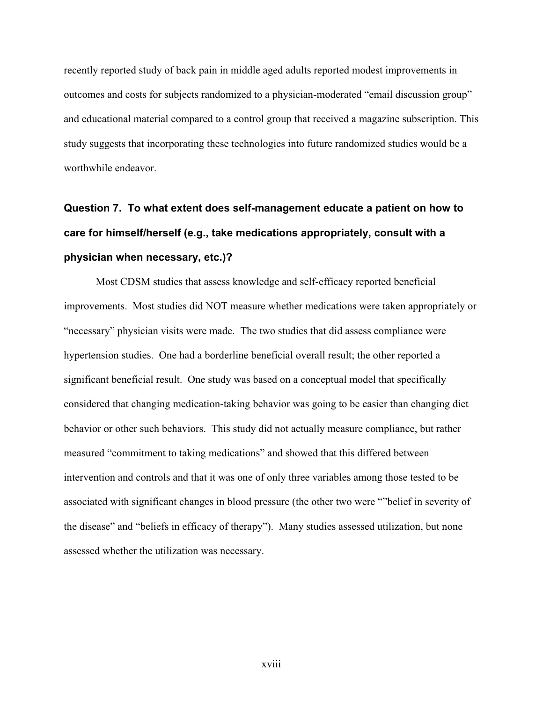recently reported study of back pain in middle aged adults reported modest improvements in outcomes and costs for subjects randomized to a physician-moderated "email discussion group" and educational material compared to a control group that received a magazine subscription. This study suggests that incorporating these technologies into future randomized studies would be a worthwhile endeavor.

# **Question 7. To what extent does self-management educate a patient on how to care for himself/herself (e.g., take medications appropriately, consult with a physician when necessary, etc.)?**

Most CDSM studies that assess knowledge and self-efficacy reported beneficial improvements. Most studies did NOT measure whether medications were taken appropriately or "necessary" physician visits were made. The two studies that did assess compliance were hypertension studies. One had a borderline beneficial overall result; the other reported a significant beneficial result. One study was based on a conceptual model that specifically considered that changing medication-taking behavior was going to be easier than changing diet behavior or other such behaviors. This study did not actually measure compliance, but rather measured "commitment to taking medications" and showed that this differed between intervention and controls and that it was one of only three variables among those tested to be associated with significant changes in blood pressure (the other two were ""belief in severity of the disease" and "beliefs in efficacy of therapy"). Many studies assessed utilization, but none assessed whether the utilization was necessary.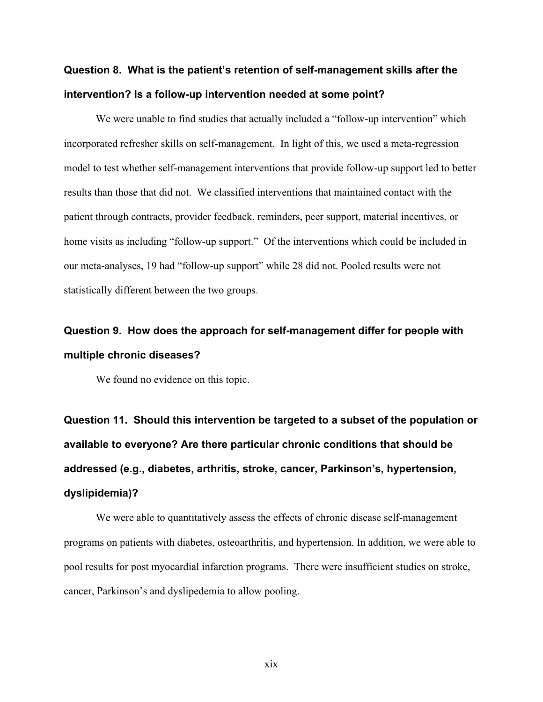## **Question 8. What is the patient's retention of self-management skills after the intervention? Is a follow-up intervention needed at some point?**

We were unable to find studies that actually included a "follow-up intervention" which incorporated refresher skills on self-management. In light of this, we used a meta-regression model to test whether self-management interventions that provide follow-up support led to better results than those that did not. We classified interventions that maintained contact with the patient through contracts, provider feedback, reminders, peer support, material incentives, or home visits as including "follow-up support." Of the interventions which could be included in our meta-analyses, 19 had "follow-up support" while 28 did not. Pooled results were not statistically different between the two groups.

## **Question 9. How does the approach for self-management differ for people with multiple chronic diseases?**

We found no evidence on this topic.

**Question 11. Should this intervention be targeted to a subset of the population or available to everyone? Are there particular chronic conditions that should be addressed (e.g., diabetes, arthritis, stroke, cancer, Parkinson's, hypertension, dyslipidemia)?** 

We were able to quantitatively assess the effects of chronic disease self-management programs on patients with diabetes, osteoarthritis, and hypertension. In addition, we were able to pool results for post myocardial infarction programs. There were insufficient studies on stroke, cancer, Parkinson's and dyslipedemia to allow pooling.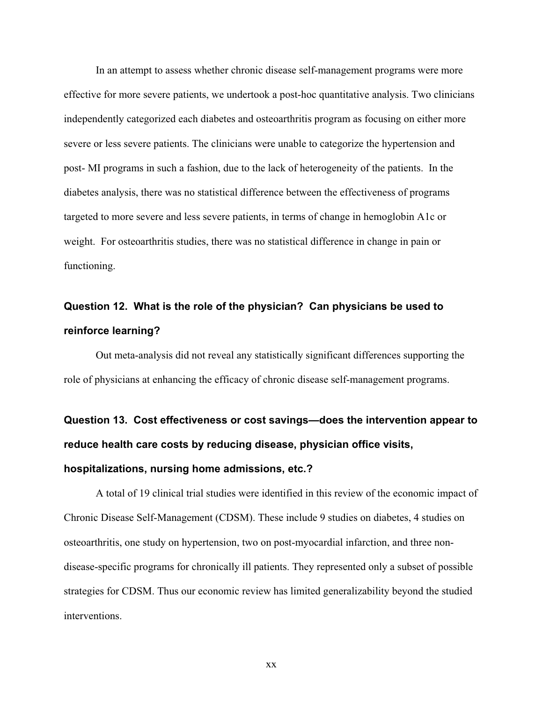In an attempt to assess whether chronic disease self-management programs were more effective for more severe patients, we undertook a post-hoc quantitative analysis. Two clinicians independently categorized each diabetes and osteoarthritis program as focusing on either more severe or less severe patients. The clinicians were unable to categorize the hypertension and post- MI programs in such a fashion, due to the lack of heterogeneity of the patients. In the diabetes analysis, there was no statistical difference between the effectiveness of programs targeted to more severe and less severe patients, in terms of change in hemoglobin A1c or weight. For osteoarthritis studies, there was no statistical difference in change in pain or functioning.

## **Question 12. What is the role of the physician? Can physicians be used to reinforce learning?**

Out meta-analysis did not reveal any statistically significant differences supporting the role of physicians at enhancing the efficacy of chronic disease self-management programs.

# **Question 13. Cost effectiveness or cost savings—does the intervention appear to reduce health care costs by reducing disease, physician office visits, hospitalizations, nursing home admissions, etc.?**

A total of 19 clinical trial studies were identified in this review of the economic impact of Chronic Disease Self-Management (CDSM). These include 9 studies on diabetes, 4 studies on osteoarthritis, one study on hypertension, two on post-myocardial infarction, and three nondisease-specific programs for chronically ill patients. They represented only a subset of possible strategies for CDSM. Thus our economic review has limited generalizability beyond the studied interventions.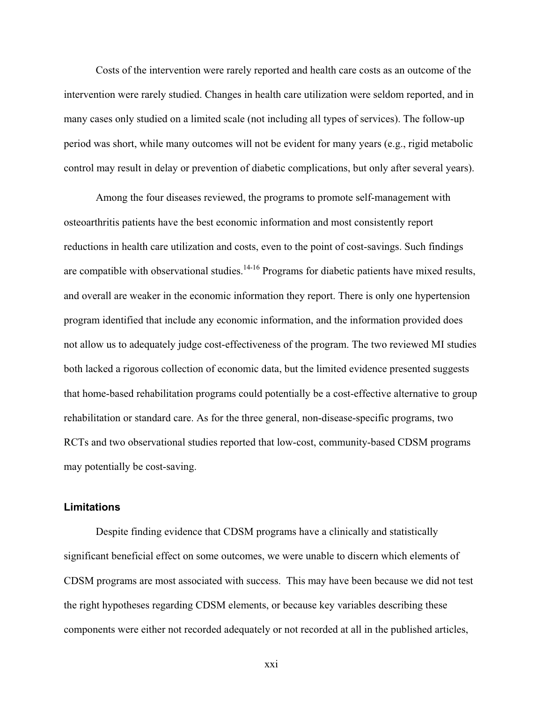Costs of the intervention were rarely reported and health care costs as an outcome of the intervention were rarely studied. Changes in health care utilization were seldom reported, and in many cases only studied on a limited scale (not including all types of services). The follow-up period was short, while many outcomes will not be evident for many years (e.g., rigid metabolic control may result in delay or prevention of diabetic complications, but only after several years).

Among the four diseases reviewed, the programs to promote self-management with osteoarthritis patients have the best economic information and most consistently report reductions in health care utilization and costs, even to the point of cost-savings. Such findings are compatible with observational studies. $14-16$  Programs for diabetic patients have mixed results, and overall are weaker in the economic information they report. There is only one hypertension program identified that include any economic information, and the information provided does not allow us to adequately judge cost-effectiveness of the program. The two reviewed MI studies both lacked a rigorous collection of economic data, but the limited evidence presented suggests that home-based rehabilitation programs could potentially be a cost-effective alternative to group rehabilitation or standard care. As for the three general, non-disease-specific programs, two RCTs and two observational studies reported that low-cost, community-based CDSM programs may potentially be cost-saving.

#### **Limitations**

Despite finding evidence that CDSM programs have a clinically and statistically significant beneficial effect on some outcomes, we were unable to discern which elements of CDSM programs are most associated with success. This may have been because we did not test the right hypotheses regarding CDSM elements, or because key variables describing these components were either not recorded adequately or not recorded at all in the published articles,

xxi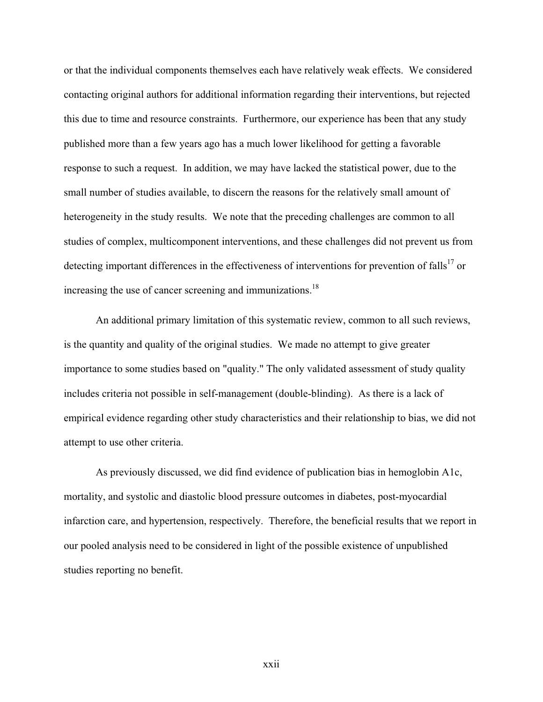or that the individual components themselves each have relatively weak effects. We considered contacting original authors for additional information regarding their interventions, but rejected this due to time and resource constraints. Furthermore, our experience has been that any study published more than a few years ago has a much lower likelihood for getting a favorable response to such a request. In addition, we may have lacked the statistical power, due to the small number of studies available, to discern the reasons for the relatively small amount of heterogeneity in the study results. We note that the preceding challenges are common to all studies of complex, multicomponent interventions, and these challenges did not prevent us from detecting important differences in the effectiveness of interventions for prevention of falls<sup>17</sup> or increasing the use of cancer screening and immunizations.<sup>18</sup>

An additional primary limitation of this systematic review, common to all such reviews, is the quantity and quality of the original studies. We made no attempt to give greater importance to some studies based on "quality." The only validated assessment of study quality includes criteria not possible in self-management (double-blinding). As there is a lack of empirical evidence regarding other study characteristics and their relationship to bias, we did not attempt to use other criteria.

As previously discussed, we did find evidence of publication bias in hemoglobin A1c, mortality, and systolic and diastolic blood pressure outcomes in diabetes, post-myocardial infarction care, and hypertension, respectively. Therefore, the beneficial results that we report in our pooled analysis need to be considered in light of the possible existence of unpublished studies reporting no benefit.